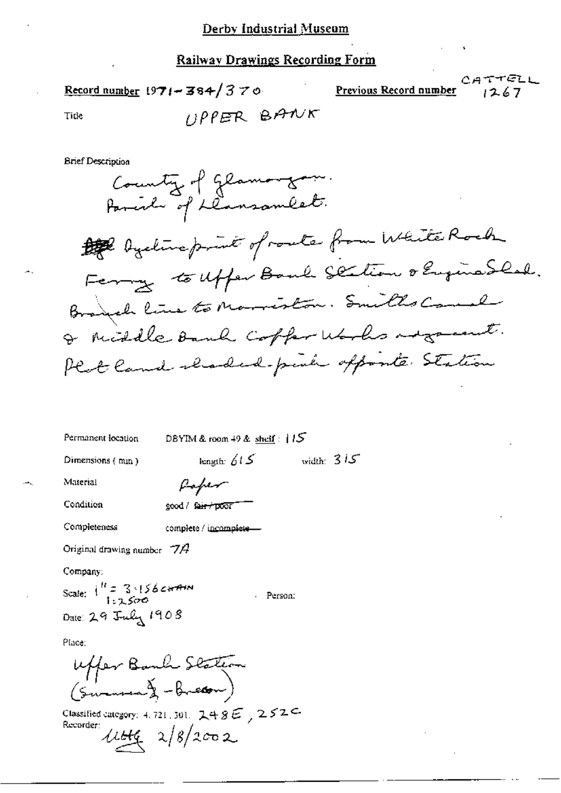#### **Railway Drawings Recording Form**

CATTELL Record number 1971 - 384/370 Previous Record number  $UPPER$  BANK Tide **Brief Description** County of glamorgan. Parent of ilansomeet. to bystine print of route from White Roch Ferry to uffer Bank Section o Enginabled. Branch line to Marriston. Smiths Comel I middle Bank coffer works is greent. Plat land claded-put offorte Station Permanent location DBYIM & room  $+9$  & shelf:  $+15$ width:  $315$ length:  $615$ Dimensions (mm) Material fafer Condition good / fa<del>ir / po</del>or Completeness complete / incomplete-

Original drawing number  $\nabla A$ 

Company:

Scale:  $i^R = 3.156$ carain Person: Date: 29 July 1908

Place:

Uffer Bank Station

Classified category: 4, 721, 301,  $248E$ ,  $252C$ Recorder:  $44422/8/2002$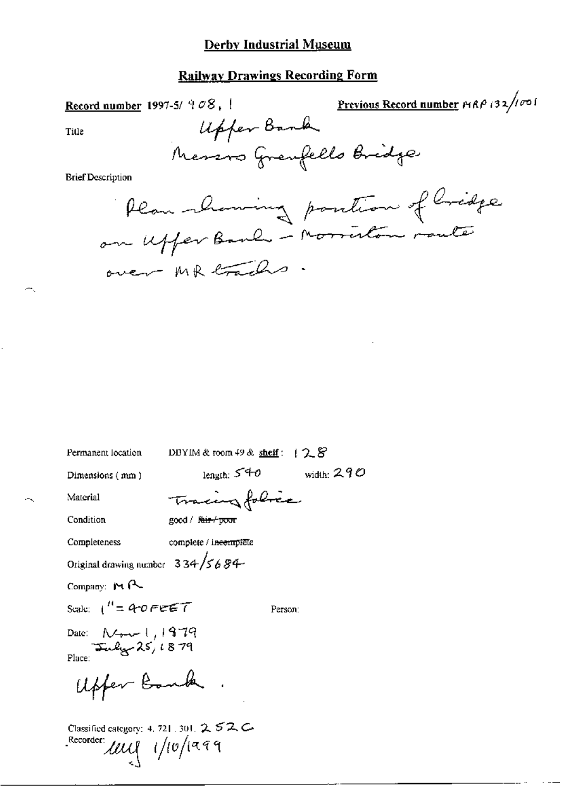### **Derby Industrial Museum**

# **Railway Drawings Recording Form**

Previous Record number  $PAP$  (32/1001) Record number 1997-5/ $908$ , 1 Upper Bank Title Messos Grenfello Bridge **Brief Description** Plan showing position of Cridge on uffer Bank - Morriston route over MR trachs

| Permanent location                                                         | DBYIM & room $49$ & sheif: $128$ |
|----------------------------------------------------------------------------|----------------------------------|
| Dimensions (mm)                                                            | width: $290$<br>length: $540$    |
| Material                                                                   | Tracingfolice                    |
| Condition                                                                  | good / f <del>air / poor</del>   |
| Completeness                                                               | complete / incomplete            |
| Original drawing number $334/5684$                                         |                                  |
| Company: 14 R                                                              |                                  |
| Scale: $1'' = 40$ FEET                                                     | Person:                          |
| Date: $N_{\text{true}} + 1979$<br>$\frac{1}{2}$ $\frac{1979}{2}$<br>Place: |                                  |
| Upfer Bank                                                                 |                                  |
| Classified category: 4, 721, 301, $252C$<br>Recorder:<br>lauf 1/10/1999    |                                  |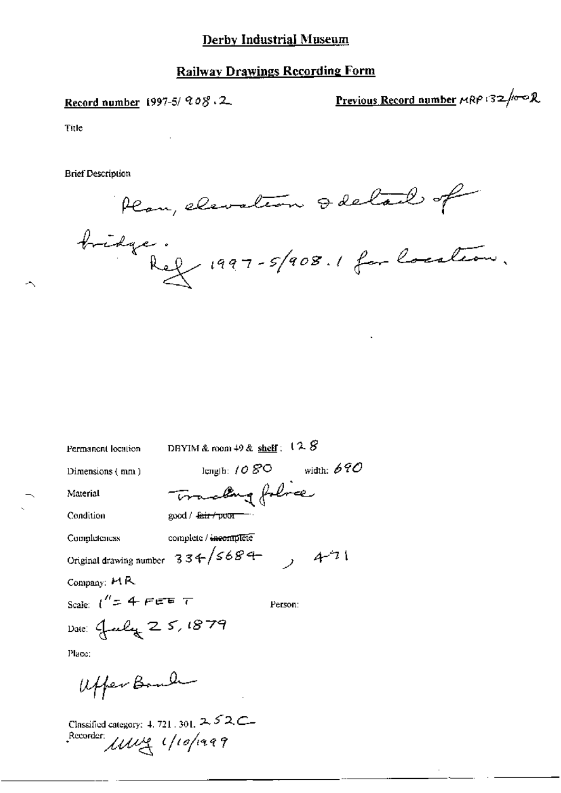#### Derby Industrial Museum

#### Railwav Drawings Recording Form

Record number 1997-5/  $90\%$  . 2. Previous Record number  $\kappa$ RP '32/wo R

Title

 $\overline{\phantom{a}}$ 

Brief Description

Plan, elevation & delail of

bridge.<br>Ref. 1997-5/908.1 for location.

m 49 & shell: 128<br>1:1080 with<br>**ang** folorer Permanent location DBYIM & room 49 & shelf:  $12.8$ - 25<br>-<br>기 Dimensions (n\n) kinglh:  $10 B^{\circ}$  width: 690 Material Condition  $\qquad \qquad \text{good}/\text{fair}/p\text{vor} \qquad$ Completeness complete / incomplete Original drawing number  $33+/568+$  ,  $4^{2}1$ Company:  $MR$ Scale:  $1'' = 4$  FEE  $\tau$  Person: Date: July 25, 1879 Place: /,(,H.,>,¢ §<..,.l)~/

Classified category:  $4.721$ ,  $301$ ,  $2.52$ C Recorder. Unit 1/10/1999